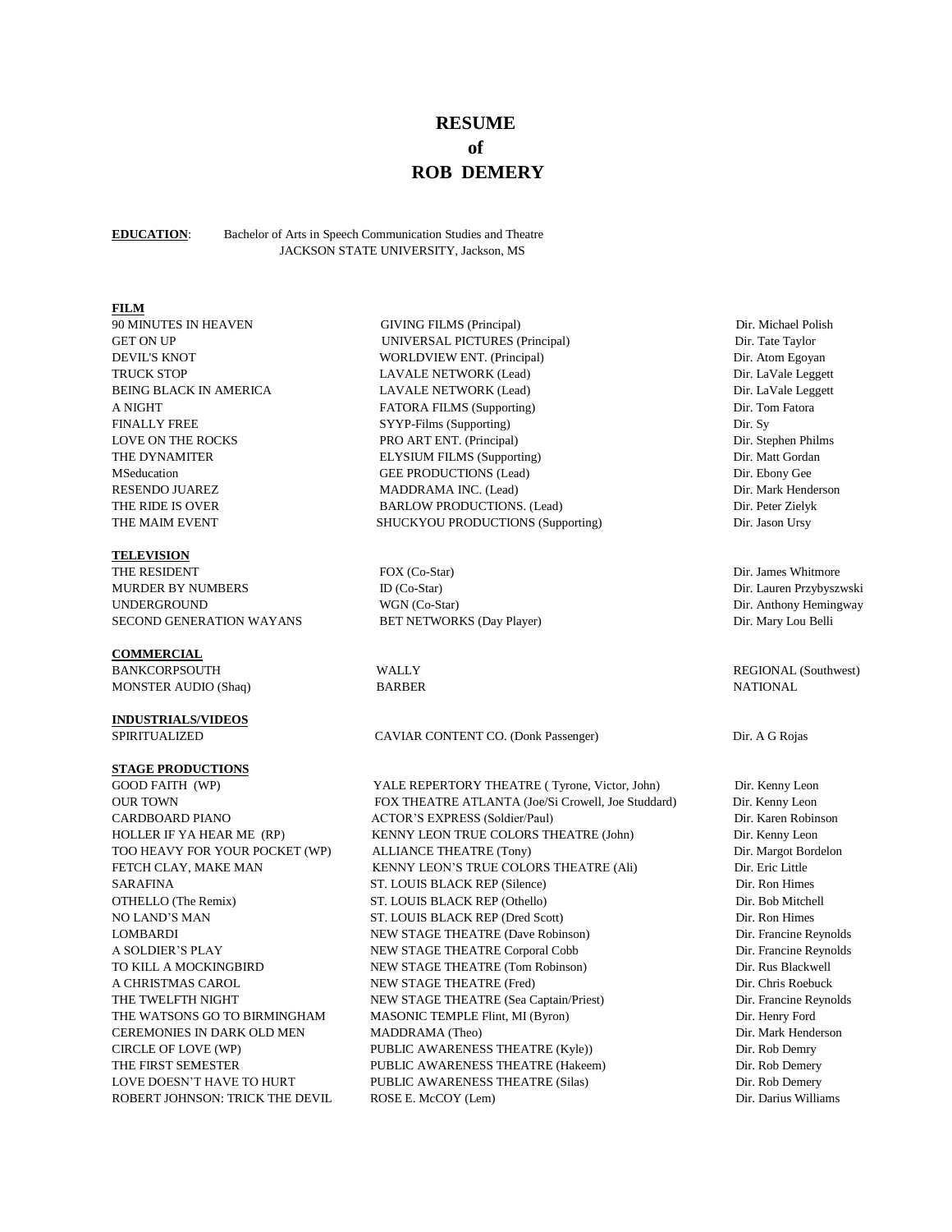## **RESUME of ROB DEMERY**

#### **EDUCATION**: Bachelor of Arts in Speech Communication Studies and Theatre JACKSON STATE UNIVERSITY, Jackson, MS

#### **FILM**

DEVIL'S KNOT TRUCK STOP BEING BLACK IN AMERICA A NIGHT FINALLY FREE LOVE ON THE ROCKS THE DYNAMITER MSeducation THE MAIM EVENT

#### **TELEVISION**

THE RESIDENT MURDER BY NUMBERS UNDERGROUND SECOND GENERATION WAYANS

### **COMMERCIAL**

BANKCORPSOUTH MONSTER AUDIO (Shaq)

# **INDUSTRIALS/VIDEOS**

### **STAGE PRODUCTIONS**

NO LAND'S MAN LOMBARDI A SOLDIER'S PLAY TO KILL A MOCKINGBIRD A CHRISTMAS CAROL THE TWELFTH NIGHT CEREMONIES IN DARK OLD MEN CIRCLE OF LOVE (WP)

90 MINUTES IN HEAVEN GIVING FILMS (Principal) Dir. Michael Polish GET ON UP UNIVERSAL PICTURES (Principal) Dir. Tate Taylor WORLDVIEW ENT. (Principal) LAVALE NETWORK (Lead) LAVALE NETWORK (Lead) FATORA FILMS (Supporting) SYYP-Films (Supporting) PRO ART ENT. (Principal) ELYSIUM FILMS (Supporting) GEE PRODUCTIONS (Lead) RESENDO JUAREZ MADDRAMA INC. (Lead) Dir. Mark Henderson THE RIDE IS OVER BARLOW PRODUCTIONS. (Lead) Dir. Peter Zielyk SHUCKYOU PRODUCTIONS (Supporting)

> FOX (Co-Star) ID (Co-Star) WGN (Co-Star) BET NETWORKS (Day Player)

 WALLY BARBER

#### SPIRITUALIZED CAVIAR CONTENT CO. (Donk Passenger) Dir. A G Rojas

GOOD FAITH (WP) YALE REPERTORY THEATRE (Tyrone, Victor, John) Dir. Kenny Leon OUR TOWN FOX THEATRE ATLANTA (Joe/Si Crowell, Joe Studdard) Dir. Kenny Leon CARDBOARD PIANO ACTOR'S EXPRESS (Soldier/Paul) Dir. Karen Robinson HOLLER IF YA HEAR ME (RP) KENNY LEON TRUE COLORS THEATRE (John) Dir. Kenny Leon TOO HEAVY FOR YOUR POCKET (WP) ALLIANCE THEATRE (Tony) Dir. Margot Bordelon FETCH CLAY, MAKE MAN KENNY LEON'S TRUE COLORS THEATRE (Ali) Dir. Eric Little SARAFINA ST. LOUIS BLACK REP (Silence) Dir. Ron Himes OTHELLO (The Remix) ST. LOUIS BLACK REP (Othello) Dir. Bob Mitchell ST. LOUIS BLACK REP (Dred Scott) NEW STAGE THEATRE (Dave Robinson) NEW STAGE THEATRE Corporal Cobb NEW STAGE THEATRE (Tom Robinson) NEW STAGE THEATRE (Fred) NEW STAGE THEATRE (Sea Captain/Priest) THE WATSONS GO TO BIRMINGHAM MASONIC TEMPLE Flint, MI (Byron) Dir. Henry Ford MADDRAMA (Theo) PUBLIC AWARENESS THEATRE (Kyle)) THE FIRST SEMESTER PUBLIC AWARENESS THEATRE (Hakeem) Dir. Rob Demery LOVE DOESN'T HAVE TO HURT PUBLIC AWARENESS THEATRE (Silas) Dir. Rob Demery ROBERT JOHNSON: TRICK THE DEVIL ROSE E. McCOY (Lem) Dir. Darius Williams

Dir. Atom Egoyan Dir. LaVale Leggett Dir. LaVale Leggett Dir. Tom Fatora Dir. Sy Dir. Stephen Philms Dir. Matt Gordan Dir. Ebony Gee Dir. Jason Ursy

Dir. James Whitmore Dir. Lauren Przybyszwski Dir. Anthony Hemingway Dir. Mary Lou Belli

REGIONAL (Southwest) NATIONAL

 Dir. Ron Himes Dir. Francine Reynolds Dir. Francine Reynolds Dir. Rus Blackwell Dir. Chris Roebuck Dir. Francine Reynolds Dir. Mark Henderson Dir. Rob Demry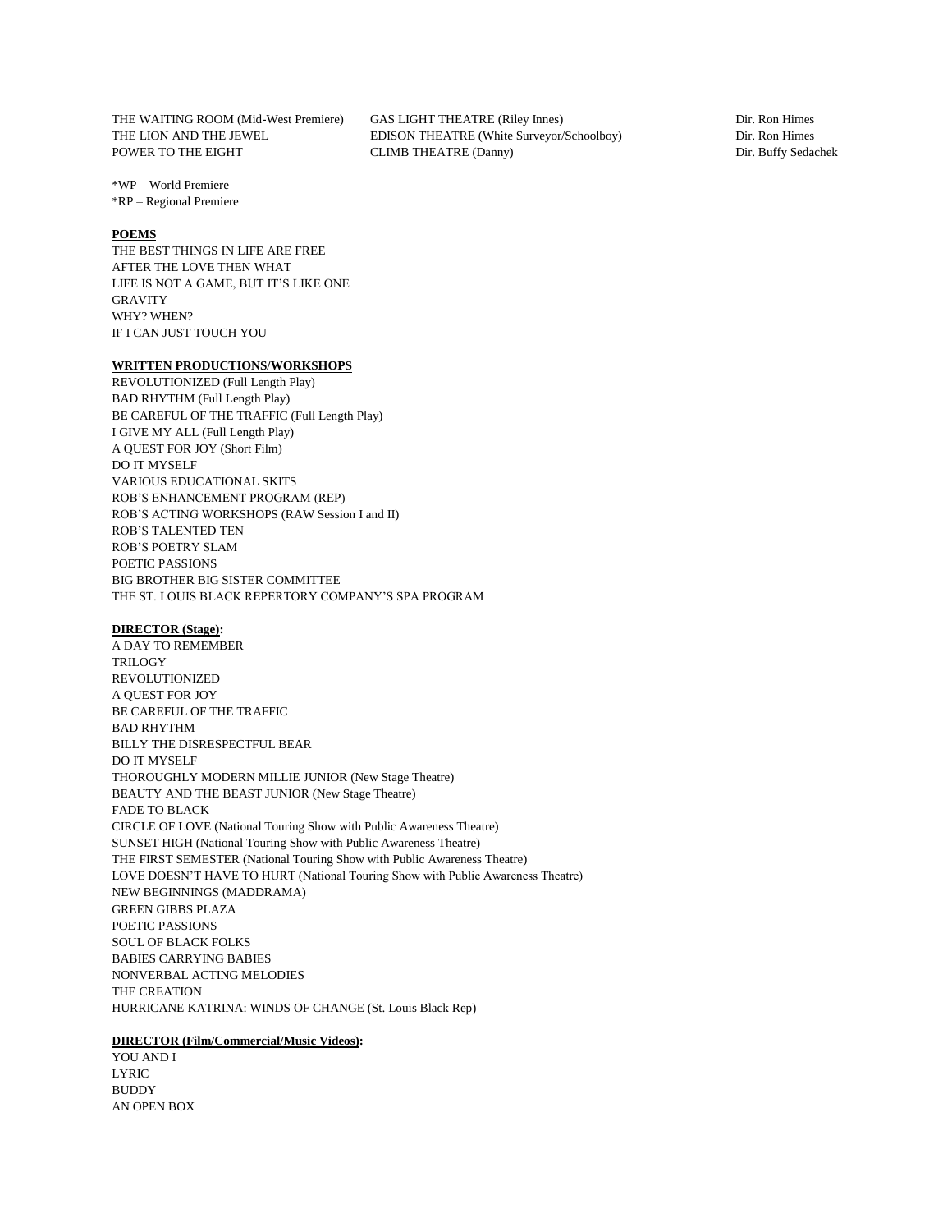THE LION AND THE JEWEL POWER TO THE EIGHT

\*WP – World Premiere \*RP – Regional Premiere

#### **POEMS**

THE BEST THINGS IN LIFE ARE FREE AFTER THE LOVE THEN WHAT LIFE IS NOT A GAME, BUT IT'S LIKE ONE GRAVITY WHY? WHEN? IF I CAN JUST TOUCH YOU

#### **WRITTEN PRODUCTIONS/WORKSHOPS**

REVOLUTIONIZED (Full Length Play) BAD RHYTHM (Full Length Play) BE CAREFUL OF THE TRAFFIC (Full Length Play) I GIVE MY ALL (Full Length Play) A QUEST FOR JOY (Short Film) DO IT MYSELF VARIOUS EDUCATIONAL SKITS ROB'S ENHANCEMENT PROGRAM (REP) ROB'S ACTING WORKSHOPS (RAW Session I and II) ROB'S TALENTED TEN ROB'S POETRY SLAM POETIC PASSIONS BIG BROTHER BIG SISTER COMMITTEE THE ST. LOUIS BLACK REPERTORY COMPANY'S SPA PROGRAM

#### **DIRECTOR (Stage):**

A DAY TO REMEMBER TRILOGY REVOLUTIONIZED A QUEST FOR JOY BE CAREFUL OF THE TRAFFIC BAD RHYTHM BILLY THE DISRESPECTFUL BEAR DO IT MYSELF THOROUGHLY MODERN MILLIE JUNIOR (New Stage Theatre) BEAUTY AND THE BEAST JUNIOR (New Stage Theatre) FADE TO BLACK CIRCLE OF LOVE (National Touring Show with Public Awareness Theatre) SUNSET HIGH (National Touring Show with Public Awareness Theatre) THE FIRST SEMESTER (National Touring Show with Public Awareness Theatre) LOVE DOESN'T HAVE TO HURT (National Touring Show with Public Awareness Theatre) NEW BEGINNINGS (MADDRAMA) GREEN GIBBS PLAZA POETIC PASSIONS SOUL OF BLACK FOLKS BABIES CARRYING BABIES NONVERBAL ACTING MELODIES THE CREATION HURRICANE KATRINA: WINDS OF CHANGE (St. Louis Black Rep)

#### **DIRECTOR (Film/Commercial/Music Videos):**

YOU AND I LYRIC BUDDY AN OPEN BOX

THE WAITING ROOM (Mid-West Premiere) GAS LIGHT THEATRE (Riley Innes) Dir. Ron Himes EDISON THEATRE (White Surveyor/Schoolboy) CLIMB THEATRE (Danny)

 Dir. Ron Himes Dir. Buffy Sedachek